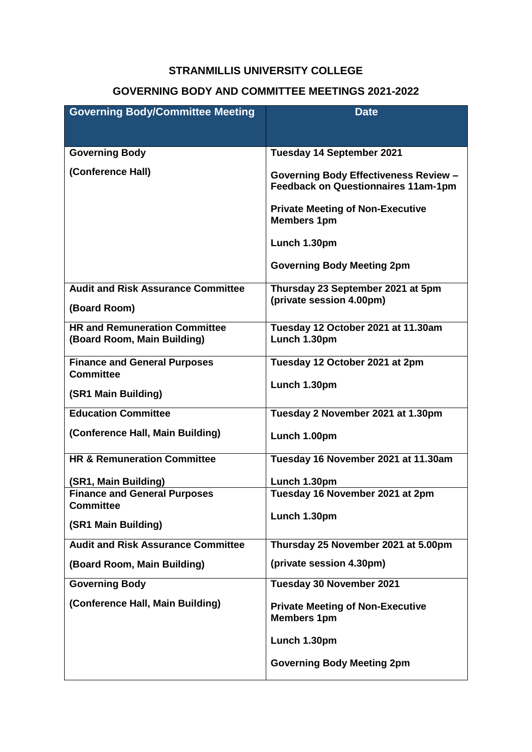## **STRANMILLIS UNIVERSITY COLLEGE**

## **GOVERNING BODY AND COMMITTEE MEETINGS 2021-2022**

| <b>Governing Body/Committee Meeting</b>                 | <b>Date</b>                                                                                |
|---------------------------------------------------------|--------------------------------------------------------------------------------------------|
|                                                         |                                                                                            |
| <b>Governing Body</b>                                   | <b>Tuesday 14 September 2021</b>                                                           |
|                                                         |                                                                                            |
| (Conference Hall)                                       | <b>Governing Body Effectiveness Review -</b><br><b>Feedback on Questionnaires 11am-1pm</b> |
|                                                         | <b>Private Meeting of Non-Executive</b><br><b>Members 1pm</b>                              |
|                                                         | Lunch 1.30pm                                                                               |
|                                                         | <b>Governing Body Meeting 2pm</b>                                                          |
| <b>Audit and Risk Assurance Committee</b>               | Thursday 23 September 2021 at 5pm                                                          |
| (Board Room)                                            | (private session 4.00pm)                                                                   |
| <b>HR and Remuneration Committee</b>                    | Tuesday 12 October 2021 at 11.30am                                                         |
| (Board Room, Main Building)                             | Lunch 1.30pm                                                                               |
| <b>Finance and General Purposes</b><br><b>Committee</b> | Tuesday 12 October 2021 at 2pm                                                             |
|                                                         | Lunch 1.30pm                                                                               |
| (SR1 Main Building)                                     |                                                                                            |
| <b>Education Committee</b>                              | Tuesday 2 November 2021 at 1.30pm                                                          |
| (Conference Hall, Main Building)                        | Lunch 1.00pm                                                                               |
| <b>HR &amp; Remuneration Committee</b>                  | Tuesday 16 November 2021 at 11.30am                                                        |
| (SR1, Main Building)                                    | Lunch 1.30pm                                                                               |
| <b>Finance and General Purposes</b><br><b>Committee</b> | Tuesday 16 November 2021 at 2pm                                                            |
|                                                         | Lunch 1.30pm                                                                               |
| (SR1 Main Building)                                     |                                                                                            |
| <b>Audit and Risk Assurance Committee</b>               | Thursday 25 November 2021 at 5.00pm                                                        |
| (Board Room, Main Building)                             | (private session 4.30pm)                                                                   |
| <b>Governing Body</b>                                   | Tuesday 30 November 2021                                                                   |
| (Conference Hall, Main Building)                        | <b>Private Meeting of Non-Executive</b><br><b>Members 1pm</b>                              |
|                                                         | Lunch 1.30pm                                                                               |
|                                                         | <b>Governing Body Meeting 2pm</b>                                                          |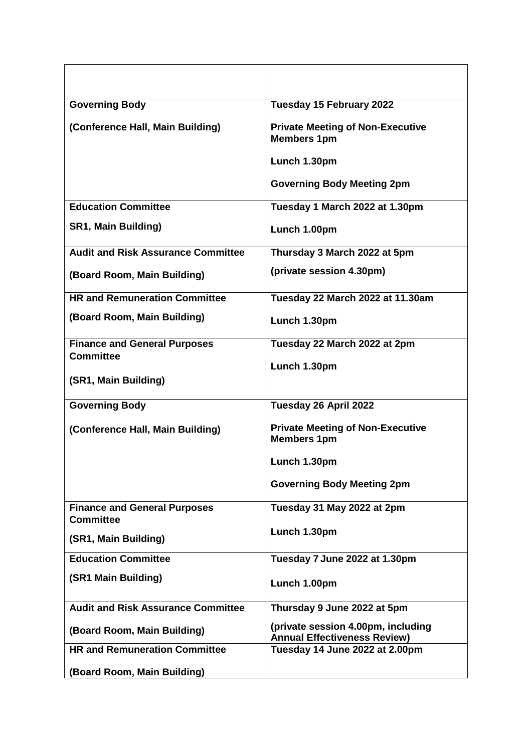| <b>Governing Body</b>                                   | Tuesday 15 February 2022                                                  |
|---------------------------------------------------------|---------------------------------------------------------------------------|
| (Conference Hall, Main Building)                        | <b>Private Meeting of Non-Executive</b><br><b>Members 1pm</b>             |
|                                                         | Lunch 1.30pm                                                              |
|                                                         | <b>Governing Body Meeting 2pm</b>                                         |
| <b>Education Committee</b>                              | Tuesday 1 March 2022 at 1.30pm                                            |
| <b>SR1, Main Building)</b>                              | Lunch 1.00pm                                                              |
| <b>Audit and Risk Assurance Committee</b>               | Thursday 3 March 2022 at 5pm                                              |
| (Board Room, Main Building)                             | (private session 4.30pm)                                                  |
| <b>HR and Remuneration Committee</b>                    | Tuesday 22 March 2022 at 11.30am                                          |
| (Board Room, Main Building)                             | Lunch 1.30pm                                                              |
| <b>Finance and General Purposes</b>                     | Tuesday 22 March 2022 at 2pm                                              |
| <b>Committee</b>                                        | Lunch 1.30pm                                                              |
| (SR1, Main Building)                                    |                                                                           |
| <b>Governing Body</b>                                   | Tuesday 26 April 2022                                                     |
| (Conference Hall, Main Building)                        | <b>Private Meeting of Non-Executive</b><br><b>Members 1pm</b>             |
|                                                         | Lunch 1.30pm                                                              |
|                                                         | <b>Governing Body Meeting 2pm</b>                                         |
| <b>Finance and General Purposes</b><br><b>Committee</b> | Tuesday 31 May 2022 at 2pm                                                |
| (SR1, Main Building)                                    | Lunch 1.30pm                                                              |
| <b>Education Committee</b>                              | Tuesday 7 June 2022 at 1.30pm                                             |
| (SR1 Main Building)                                     | Lunch 1.00pm                                                              |
| <b>Audit and Risk Assurance Committee</b>               | Thursday 9 June 2022 at 5pm                                               |
| (Board Room, Main Building)                             | (private session 4.00pm, including<br><b>Annual Effectiveness Review)</b> |
| <b>HR and Remuneration Committee</b>                    | Tuesday 14 June 2022 at 2.00pm                                            |
| (Board Room, Main Building)                             |                                                                           |